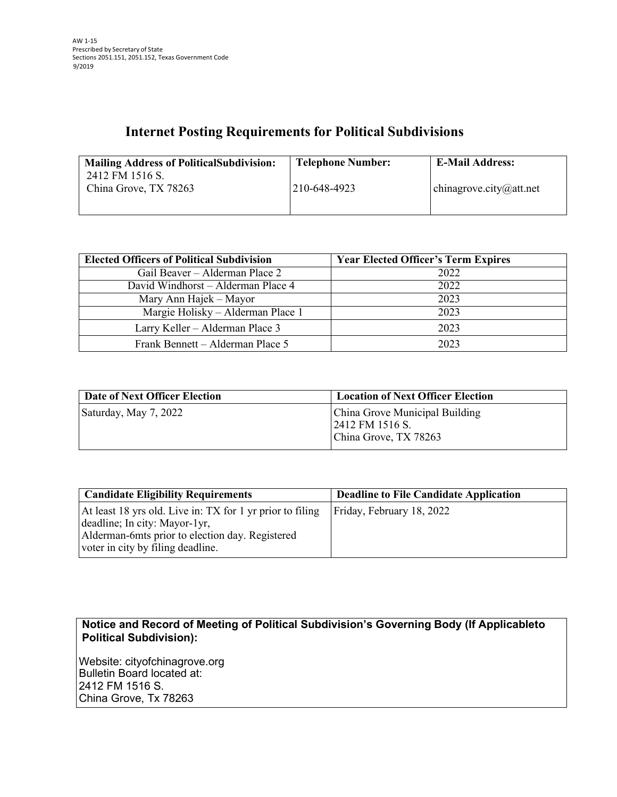## **Internet Posting Requirements for Political Subdivisions**

| <b>Mailing Address of Political Subdivision:</b> | <b>Telephone Number:</b> | <b>E-Mail Address:</b>  |
|--------------------------------------------------|--------------------------|-------------------------|
| 2412 FM 1516 S.<br>China Grove, TX 78263         | 210-648-4923             | chinagrove.city@att.net |
|                                                  |                          |                         |

| <b>Elected Officers of Political Subdivision</b> | <b>Year Elected Officer's Term Expires</b> |
|--------------------------------------------------|--------------------------------------------|
| Gail Beaver – Alderman Place 2                   | 2022                                       |
| David Windhorst - Alderman Place 4               | 2022                                       |
| Mary Ann Hajek – Mayor                           | 2023                                       |
| Margie Holisky - Alderman Place 1                | 2023                                       |
| Larry Keller – Alderman Place 3                  | 2023                                       |
| Frank Bennett – Alderman Place 5                 | 2023                                       |

| Date of Next Officer Election | <b>Location of Next Officer Election</b>                                   |
|-------------------------------|----------------------------------------------------------------------------|
| Saturday, May 7, 2022         | China Grove Municipal Building<br>2412 FM 1516 S.<br>China Grove, TX 78263 |

| <b>Candidate Eligibility Requirements</b>                                                                                                                                          | <b>Deadline to File Candidate Application</b> |
|------------------------------------------------------------------------------------------------------------------------------------------------------------------------------------|-----------------------------------------------|
| At least 18 yrs old. Live in: TX for 1 yr prior to filing<br>deadline; In city: Mayor-1yr,<br>Alderman-6mts prior to election day. Registered<br>voter in city by filing deadline. | Friday, February 18, 2022                     |

**Notice and Record of Meeting of Political Subdivision's Governing Body (If Applicableto Political Subdivision):**

Website: cityofchinagrove.org Bulletin Board located at: 2412 FM 1516 S. China Grove, Tx 78263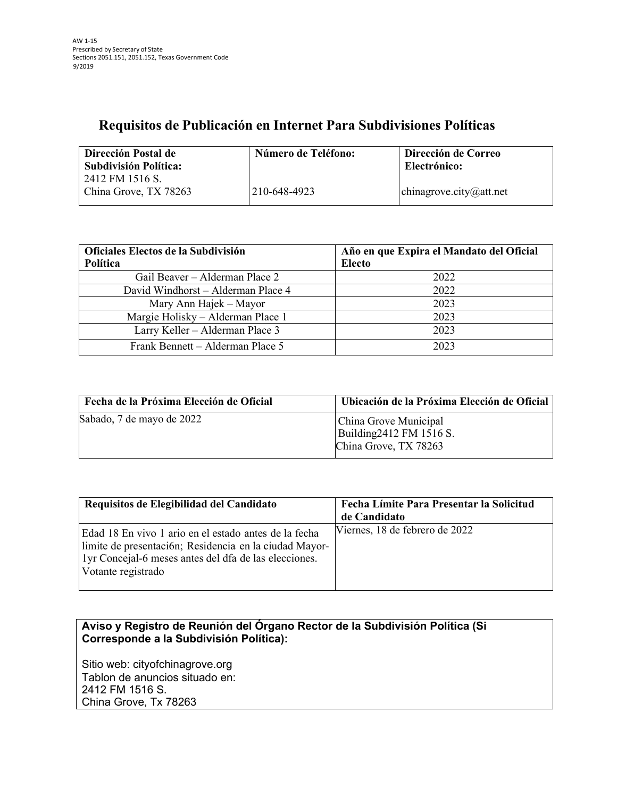## **Requisitos de Publicación en Internet Para Subdivisiones Políticas**

| Dirección Postal de<br>Subdivisión Política: | Número de Teléfono: | Dirección de Correo<br>Electrónico: |
|----------------------------------------------|---------------------|-------------------------------------|
| 2412 FM 1516 S.                              |                     |                                     |
| China Grove, TX 78263                        | 210-648-4923        | chinagrove.city@att.net             |

| Oficiales Electos de la Subdivisión<br>Política | Año en que Expira el Mandato del Oficial<br><b>Electo</b> |
|-------------------------------------------------|-----------------------------------------------------------|
| Gail Beaver – Alderman Place 2                  | 2022                                                      |
| David Windhorst - Alderman Place 4              | 2022                                                      |
| Mary Ann Hajek – Mayor                          | 2023                                                      |
| Margie Holisky - Alderman Place 1               | 2023                                                      |
| Larry Keller - Alderman Place 3                 | 2023                                                      |
| Frank Bennett - Alderman Place 5                | 2023                                                      |

| Fecha de la Próxima Elección de Oficial | Ubicación de la Próxima Elección de Oficial                                |
|-----------------------------------------|----------------------------------------------------------------------------|
| Sabado, 7 de mayo de 2022               | China Grove Municipal<br>Building 2412 FM 1516 S.<br>China Grove, TX 78263 |

| Requisitos de Elegibilidad del Candidato                                                                                                                                                       | Fecha Límite Para Presentar la Solicitud<br>de Candidato |
|------------------------------------------------------------------------------------------------------------------------------------------------------------------------------------------------|----------------------------------------------------------|
| Edad 18 En vivo 1 ario en el estado antes de la fecha<br>limite de presentación; Residencia en la ciudad Mayor-<br>1yr Concejal-6 meses antes del dfa de las elecciones.<br>Votante registrado | Viernes, 18 de febrero de 2022                           |

**Aviso y Registro de Reunión del Órgano Rector de la Subdivisión Política (Si Corresponde a la Subdivisión Política):**

Sitio web: cityofchinagrove.org Tablon de anuncios situado en: 2412 FM 1516 S. China Grove, Tx 78263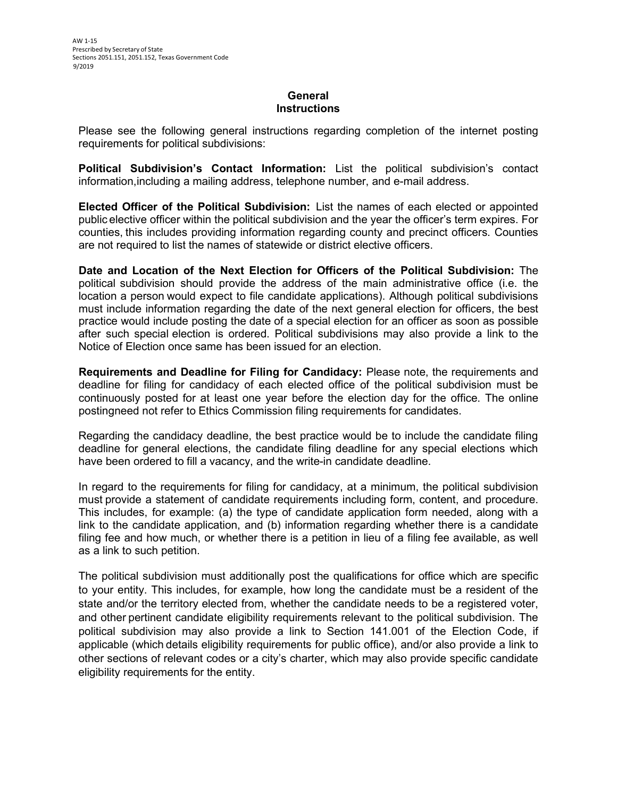## **General Instructions**

Please see the following general instructions regarding completion of the internet posting requirements for political subdivisions:

**Political Subdivision's Contact Information:** List the political subdivision's contact information,including a mailing address, telephone number, and e-mail address.

**Elected Officer of the Political Subdivision:** List the names of each elected or appointed public elective officer within the political subdivision and the year the officer's term expires. For counties, this includes providing information regarding county and precinct officers. Counties are not required to list the names of statewide or district elective officers.

**Date and Location of the Next Election for Officers of the Political Subdivision:** The political subdivision should provide the address of the main administrative office (i.e. the location a person would expect to file candidate applications). Although political subdivisions must include information regarding the date of the next general election for officers, the best practice would include posting the date of a special election for an officer as soon as possible after such special election is ordered. Political subdivisions may also provide a link to the Notice of Election once same has been issued for an election.

**Requirements and Deadline for Filing for Candidacy:** Please note, the requirements and deadline for filing for candidacy of each elected office of the political subdivision must be continuously posted for at least one year before the election day for the office. The online postingneed not refer to Ethics Commission filing requirements for candidates.

Regarding the candidacy deadline, the best practice would be to include the candidate filing deadline for general elections, the candidate filing deadline for any special elections which have been ordered to fill a vacancy, and the write-in candidate deadline.

In regard to the requirements for filing for candidacy, at a minimum, the political subdivision must provide a statement of candidate requirements including form, content, and procedure. This includes, for example: (a) the type of candidate application form needed, along with a link to the candidate application, and (b) information regarding whether there is a candidate filing fee and how much, or whether there is a petition in lieu of a filing fee available, as well as a link to such petition.

The political subdivision must additionally post the qualifications for office which are specific to your entity. This includes, for example, how long the candidate must be a resident of the state and/or the territory elected from, whether the candidate needs to be a registered voter, and other pertinent candidate eligibility requirements relevant to the political subdivision. The political subdivision may also provide a link to Section 141.001 of the Election Code, if applicable (which details eligibility requirements for public office), and/or also provide a link to other sections of relevant codes or a city's charter, which may also provide specific candidate eligibility requirements for the entity.